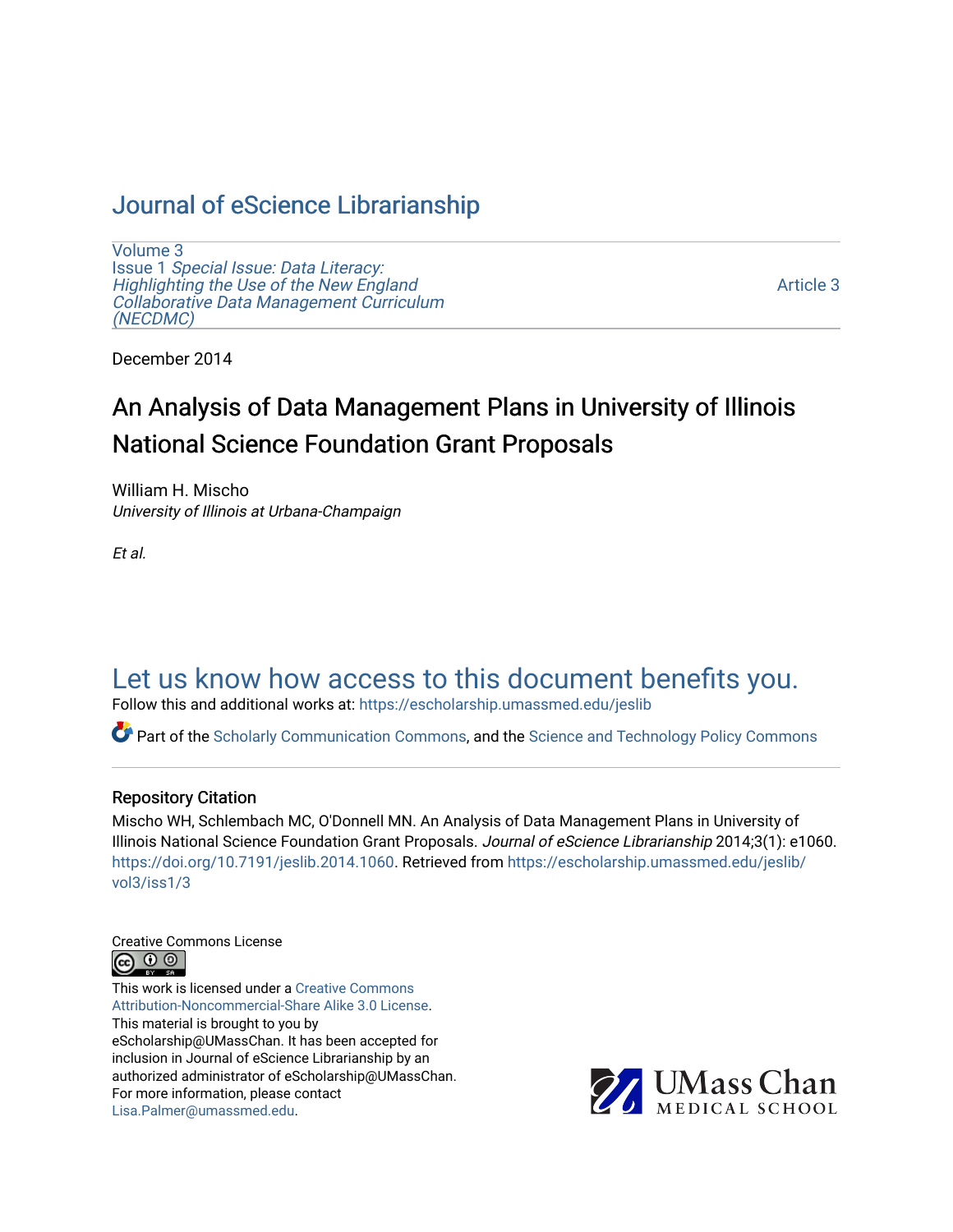# [Journal of eScience Librarianship](https://escholarship.umassmed.edu/jeslib)

[Volume 3](https://escholarship.umassmed.edu/jeslib/vol3) Issue 1 [Special Issue: Data Literacy:](https://escholarship.umassmed.edu/jeslib/vol3/iss1) [Highlighting the Use of the New England](https://escholarship.umassmed.edu/jeslib/vol3/iss1) [Collaborative Data Management Curriculum](https://escholarship.umassmed.edu/jeslib/vol3/iss1) [\(NECDMC\)](https://escholarship.umassmed.edu/jeslib/vol3/iss1) 

[Article 3](https://escholarship.umassmed.edu/jeslib/vol3/iss1/3) 

December 2014

# An Analysis of Data Management Plans in University of Illinois National Science Foundation Grant Proposals

William H. Mischo University of Illinois at Urbana-Champaign

Et al.

# [Let us know how access to this document benefits you.](https://arcsapps.umassmed.edu/redcap/surveys/?s=XWRHNF9EJE)

Follow this and additional works at: [https://escholarship.umassmed.edu/jeslib](https://escholarship.umassmed.edu/jeslib?utm_source=escholarship.umassmed.edu%2Fjeslib%2Fvol3%2Fiss1%2F3&utm_medium=PDF&utm_campaign=PDFCoverPages) 

Part of the [Scholarly Communication Commons,](http://network.bepress.com/hgg/discipline/1272?utm_source=escholarship.umassmed.edu%2Fjeslib%2Fvol3%2Fiss1%2F3&utm_medium=PDF&utm_campaign=PDFCoverPages) and the [Science and Technology Policy Commons](http://network.bepress.com/hgg/discipline/1029?utm_source=escholarship.umassmed.edu%2Fjeslib%2Fvol3%2Fiss1%2F3&utm_medium=PDF&utm_campaign=PDFCoverPages)

#### Repository Citation

Mischo WH, Schlembach MC, O'Donnell MN. An Analysis of Data Management Plans in University of Illinois National Science Foundation Grant Proposals. Journal of eScience Librarianship 2014;3(1): e1060. <https://doi.org/10.7191/jeslib.2014.1060>. Retrieved from [https://escholarship.umassmed.edu/jeslib/](https://escholarship.umassmed.edu/jeslib/vol3/iss1/3?utm_source=escholarship.umassmed.edu%2Fjeslib%2Fvol3%2Fiss1%2F3&utm_medium=PDF&utm_campaign=PDFCoverPages) [vol3/iss1/3](https://escholarship.umassmed.edu/jeslib/vol3/iss1/3?utm_source=escholarship.umassmed.edu%2Fjeslib%2Fvol3%2Fiss1%2F3&utm_medium=PDF&utm_campaign=PDFCoverPages) 

Creative Commons License



This work is licensed under a [Creative Commons](https://creativecommons.org/licenses/by-nc-sa/3.0/) [Attribution-Noncommercial-Share Alike 3.0 License](https://creativecommons.org/licenses/by-nc-sa/3.0/). This material is brought to you by eScholarship@UMassChan. It has been accepted for inclusion in Journal of eScience Librarianship by an authorized administrator of eScholarship@UMassChan. For more information, please contact [Lisa.Palmer@umassmed.edu](mailto:Lisa.Palmer@umassmed.edu).

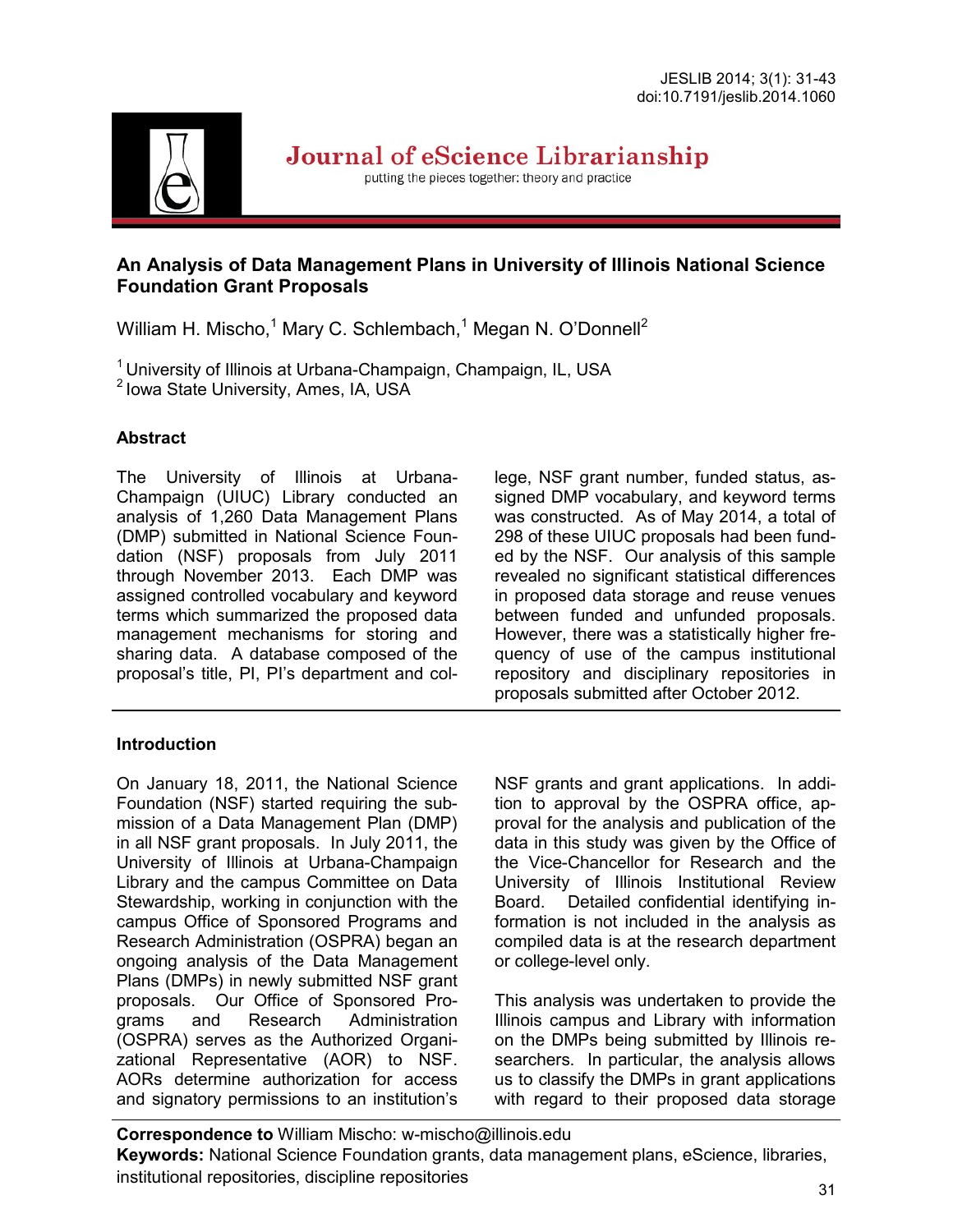

Journal of eScience Librarianship

putting the pieces together: theory and practice

### **An Analysis of Data Management Plans in University of Illinois National Science Foundation Grant Proposals**

William H. Mischo,<sup>1</sup> Mary C. Schlembach,<sup>1</sup> Megan N. O'Donnell<sup>2</sup>

 $1$ University of Illinois at Urbana-Champaign, Champaign, IL, USA

 $<sup>2</sup>$  lowa State University, Ames, IA, USA</sup>

### **Abstract**

The University of Illinois at Urbana-Champaign (UIUC) Library conducted an analysis of 1,260 Data Management Plans (DMP) submitted in National Science Foundation (NSF) proposals from July 2011 through November 2013. Each DMP was assigned controlled vocabulary and keyword terms which summarized the proposed data management mechanisms for storing and sharing data. A database composed of the proposal's title, PI, PI's department and col-

### **Introduction**

On January 18, 2011, the National Science Foundation (NSF) started requiring the submission of a Data Management Plan (DMP) in all NSF grant proposals. In July 2011, the University of Illinois at Urbana-Champaign Library and the campus Committee on Data Stewardship, working in conjunction with the campus Office of Sponsored Programs and Research Administration (OSPRA) began an ongoing analysis of the Data Management Plans (DMPs) in newly submitted NSF grant proposals. Our Office of Sponsored Programs and Research Administration (OSPRA) serves as the Authorized Organizational Representative (AOR) to NSF. AORs determine authorization for access and signatory permissions to an institution's lege, NSF grant number, funded status, assigned DMP vocabulary, and keyword terms was constructed. As of May 2014, a total of 298 of these UIUC proposals had been funded by the NSF. Our analysis of this sample revealed no significant statistical differences in proposed data storage and reuse venues between funded and unfunded proposals. However, there was a statistically higher frequency of use of the campus institutional repository and disciplinary repositories in proposals submitted after October 2012.

NSF grants and grant applications. In addition to approval by the OSPRA office, approval for the analysis and publication of the data in this study was given by the Office of the Vice-Chancellor for Research and the University of Illinois Institutional Review Board. Detailed confidential identifying information is not included in the analysis as compiled data is at the research department or college-level only.

This analysis was undertaken to provide the Illinois campus and Library with information on the DMPs being submitted by Illinois researchers. In particular, the analysis allows us to classify the DMPs in grant applications with regard to their proposed data storage

**Correspondence to** William Mischo: w-mischo@illinois.edu **Keywords:** National Science Foundation grants, data management plans, eScience, libraries, institutional repositories, discipline repositories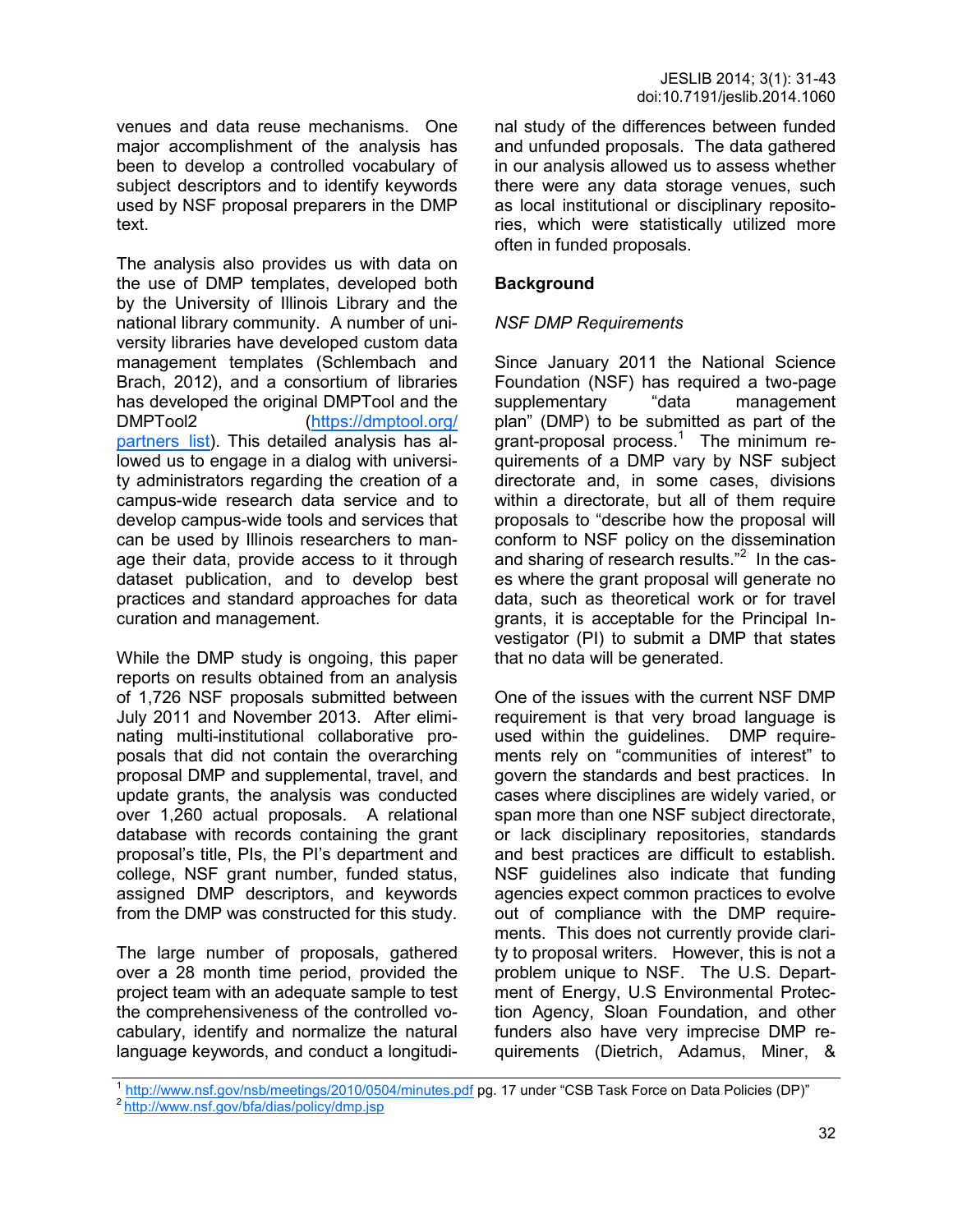venues and data reuse mechanisms. One major accomplishment of the analysis has been to develop a controlled vocabulary of subject descriptors and to identify keywords used by NSF proposal preparers in the DMP text.

The analysis also provides us with data on the use of DMP templates, developed both by the University of Illinois Library and the national library community. A number of university libraries have developed custom data management templates (Schlembach and Brach, 2012), and a consortium of libraries has developed the original DMPTool and the DMPTool2 ([https://dmptool.org/](https://dmptool.org/partners_list) partners list). This detailed analysis has allowed us to engage in a dialog with university administrators regarding the creation of a campus-wide research data service and to develop campus-wide tools and services that can be used by Illinois researchers to manage their data, provide access to it through dataset publication, and to develop best practices and standard approaches for data curation and management.

While the DMP study is ongoing, this paper reports on results obtained from an analysis of 1,726 NSF proposals submitted between July 2011 and November 2013. After eliminating multi-institutional collaborative proposals that did not contain the overarching proposal DMP and supplemental, travel, and update grants, the analysis was conducted over 1,260 actual proposals. A relational database with records containing the grant proposal's title, PIs, the PI's department and college, NSF grant number, funded status, assigned DMP descriptors, and keywords from the DMP was constructed for this study.

The large number of proposals, gathered over a 28 month time period, provided the project team with an adequate sample to test the comprehensiveness of the controlled vocabulary, identify and normalize the natural language keywords, and conduct a longitudinal study of the differences between funded and unfunded proposals. The data gathered in our analysis allowed us to assess whether there were any data storage venues, such as local institutional or disciplinary repositories, which were statistically utilized more often in funded proposals.

### **Background**

### *NSF DMP Requirements*

Since January 2011 the National Science Foundation (NSF) has required a two-page supplementary "data management plan" (DMP) to be submitted as part of the grant-proposal process. $1$  The minimum requirements of a DMP vary by NSF subject directorate and, in some cases, divisions within a directorate, but all of them require proposals to "describe how the proposal will conform to NSF policy on the dissemination and sharing of research results." $2$  In the cases where the grant proposal will generate no data, such as theoretical work or for travel grants, it is acceptable for the Principal Investigator (PI) to submit a DMP that states that no data will be generated.

One of the issues with the current NSF DMP requirement is that very broad language is used within the guidelines. DMP requirements rely on "communities of interest" to govern the standards and best practices. In cases where disciplines are widely varied, or span more than one NSF subject directorate, or lack disciplinary repositories, standards and best practices are difficult to establish. NSF guidelines also indicate that funding agencies expect common practices to evolve out of compliance with the DMP requirements. This does not currently provide clarity to proposal writers. However, this is not a problem unique to NSF. The U.S. Department of Energy, U.S Environmental Protection Agency, Sloan Foundation, and other funders also have very imprecise DMP requirements (Dietrich, Adamus, Miner, &

<sup>&</sup>lt;sup>1</sup> <http://www.nsf.gov/nsb/meetings/2010/0504/minutes.pdf> pg. 17 under "CSB Task Force on Data Policies (DP)"

<sup>&</sup>lt;sup>2</sup> <http://www.nsf.gov/bfa/dias/policy/dmp.jsp>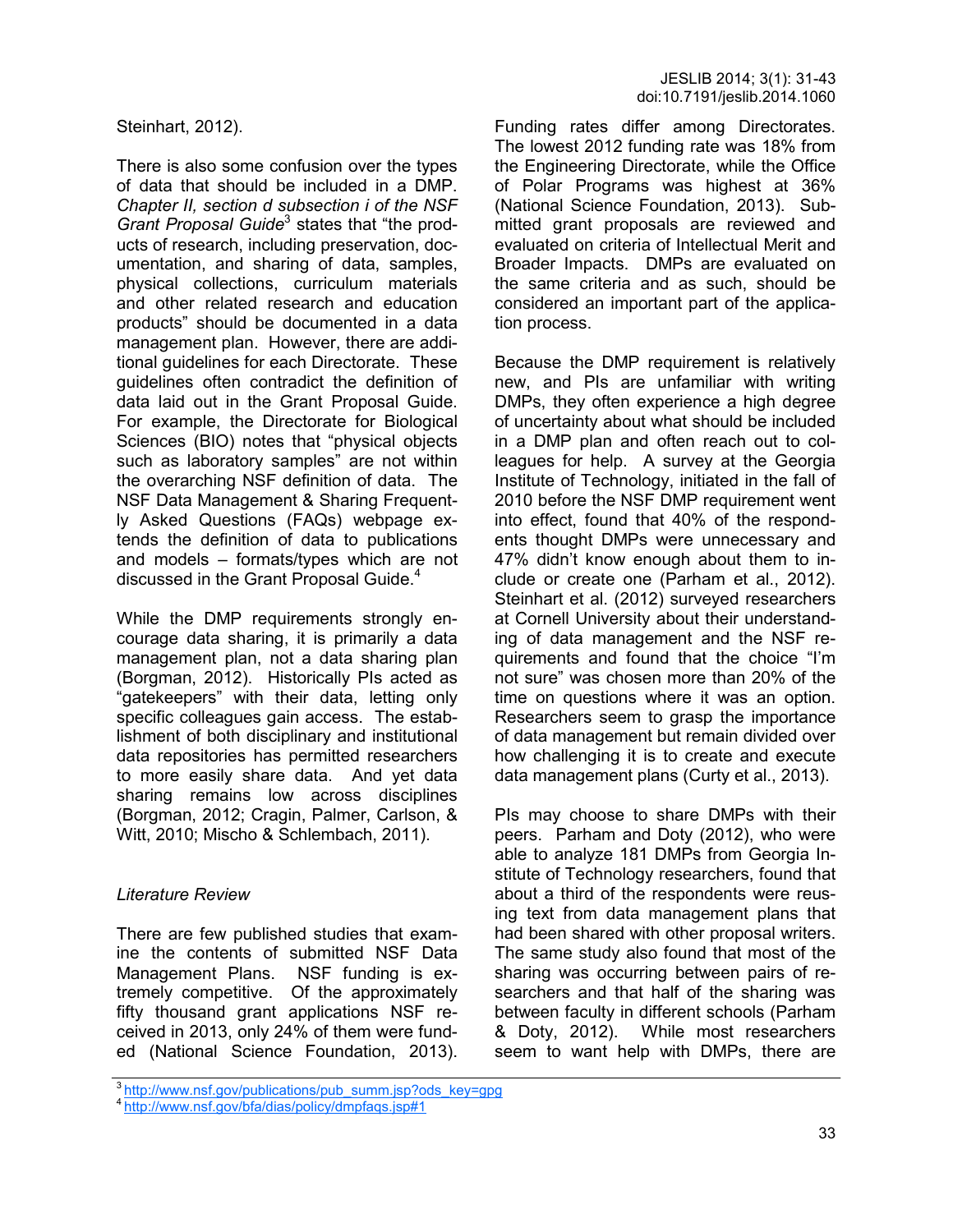Steinhart, 2012).

There is also some confusion over the types of data that should be included in a DMP. *Chapter II, section d subsection i of the NSF*  Grant Proposal Guide<sup>3</sup> states that "the products of research, including preservation, documentation, and sharing of data, samples, physical collections, curriculum materials and other related research and education products" should be documented in a data management plan. However, there are additional guidelines for each Directorate. These guidelines often contradict the definition of data laid out in the Grant Proposal Guide. For example, the Directorate for Biological Sciences (BIO) notes that "physical objects such as laboratory samples" are not within the overarching NSF definition of data. The NSF Data Management & Sharing Frequently Asked Questions (FAQs) webpage extends the definition of data to publications and models – formats/types which are not discussed in the Grant Proposal Guide.<sup>4</sup>

While the DMP requirements strongly encourage data sharing, it is primarily a data management plan, not a data sharing plan (Borgman, 2012). Historically PIs acted as "gatekeepers" with their data, letting only specific colleagues gain access. The establishment of both disciplinary and institutional data repositories has permitted researchers to more easily share data. And yet data sharing remains low across disciplines (Borgman, 2012; Cragin, Palmer, Carlson, & Witt, 2010; Mischo & Schlembach, 2011).

### *Literature Review*

There are few published studies that examine the contents of submitted NSF Data Management Plans. NSF funding is extremely competitive. Of the approximately fifty thousand grant applications NSF received in 2013, only 24% of them were funded (National Science Foundation, 2013).

Funding rates differ among Directorates. The lowest 2012 funding rate was 18% from the Engineering Directorate, while the Office of Polar Programs was highest at 36% (National Science Foundation, 2013). Submitted grant proposals are reviewed and evaluated on criteria of Intellectual Merit and Broader Impacts. DMPs are evaluated on the same criteria and as such, should be considered an important part of the application process.

Because the DMP requirement is relatively new, and PIs are unfamiliar with writing DMPs, they often experience a high degree of uncertainty about what should be included in a DMP plan and often reach out to colleagues for help. A survey at the Georgia Institute of Technology, initiated in the fall of 2010 before the NSF DMP requirement went into effect, found that 40% of the respondents thought DMPs were unnecessary and 47% didn't know enough about them to include or create one (Parham et al., 2012). Steinhart et al. (2012) surveyed researchers at Cornell University about their understanding of data management and the NSF requirements and found that the choice "I'm not sure" was chosen more than 20% of the time on questions where it was an option. Researchers seem to grasp the importance of data management but remain divided over how challenging it is to create and execute data management plans (Curty et al., 2013).

PIs may choose to share DMPs with their peers. Parham and Doty (2012), who were able to analyze 181 DMPs from Georgia Institute of Technology researchers, found that about a third of the respondents were reusing text from data management plans that had been shared with other proposal writers. The same study also found that most of the sharing was occurring between pairs of researchers and that half of the sharing was between faculty in different schools (Parham & Doty, 2012). While most researchers seem to want help with DMPs, there are

<sup>&</sup>lt;sup>3</sup>[http://www.nsf.gov/publications/pub\\_summ.jsp?ods\\_key=gpg](http://www.nsf.gov/publications/pub_summ.jsp?ods_key=gpg)

<sup>4</sup><http://www.nsf.gov/bfa/dias/policy/dmpfaqs.jsp#1>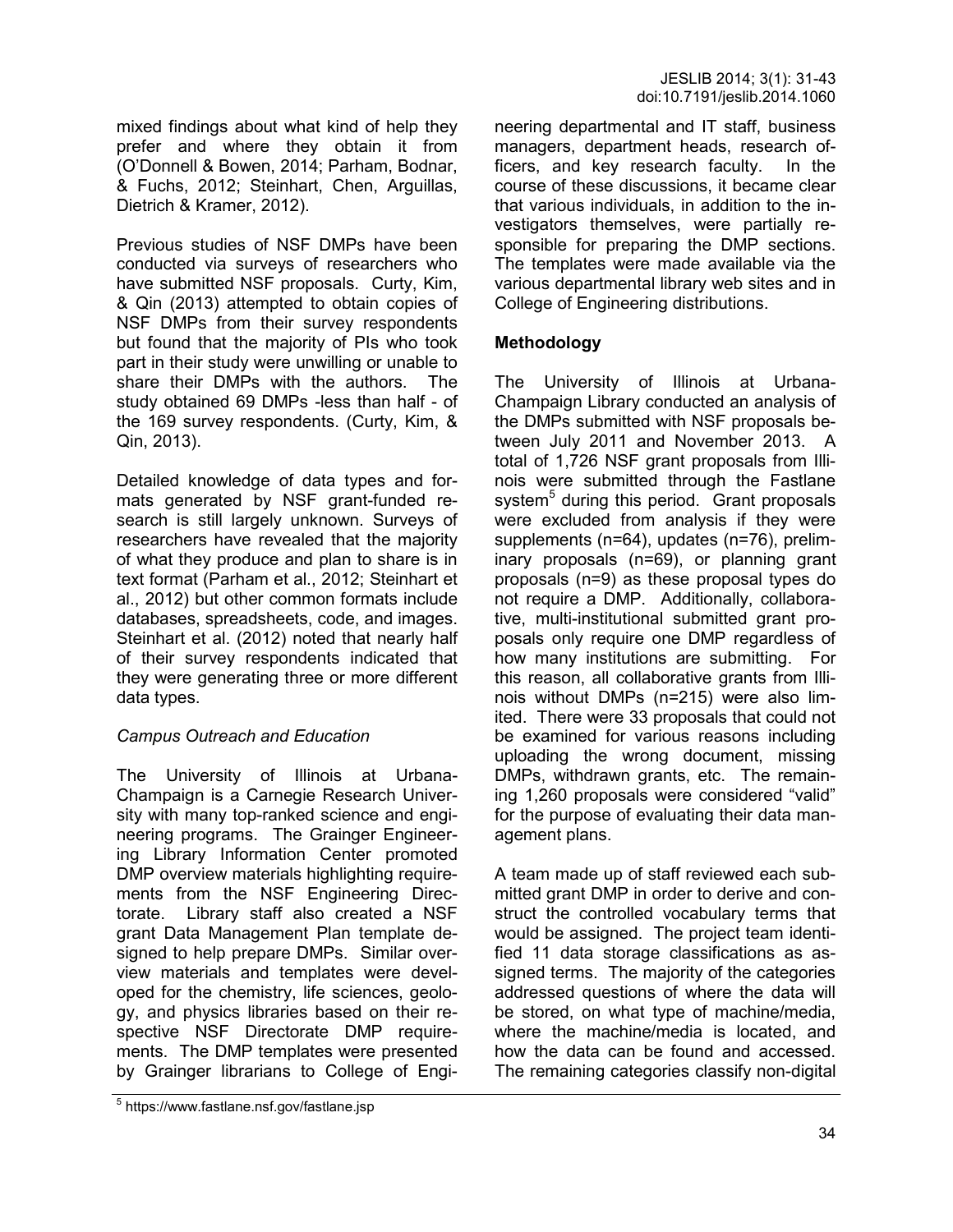mixed findings about what kind of help they prefer and where they obtain it from (O'Donnell & Bowen, 2014; Parham, Bodnar, & Fuchs, 2012; Steinhart, Chen, Arguillas, Dietrich & Kramer, 2012).

Previous studies of NSF DMPs have been conducted via surveys of researchers who have submitted NSF proposals. Curty, Kim, & Qin (2013) attempted to obtain copies of NSF DMPs from their survey respondents but found that the majority of PIs who took part in their study were unwilling or unable to share their DMPs with the authors. The study obtained 69 DMPs -less than half - of the 169 survey respondents. (Curty, Kim, & Qin, 2013).

Detailed knowledge of data types and formats generated by NSF grant-funded research is still largely unknown. Surveys of researchers have revealed that the majority of what they produce and plan to share is in text format (Parham et al., 2012; Steinhart et al., 2012) but other common formats include databases, spreadsheets, code, and images. Steinhart et al. (2012) noted that nearly half of their survey respondents indicated that they were generating three or more different data types.

### *Campus Outreach and Education*

The University of Illinois at Urbana-Champaign is a Carnegie Research University with many top-ranked science and engineering programs. The Grainger Engineering Library Information Center promoted DMP overview materials highlighting requirements from the NSF Engineering Directorate. Library staff also created a NSF grant Data Management Plan template designed to help prepare DMPs. Similar overview materials and templates were developed for the chemistry, life sciences, geology, and physics libraries based on their respective NSF Directorate DMP requirements. The DMP templates were presented by Grainger librarians to College of Engineering departmental and IT staff, business managers, department heads, research officers, and key research faculty. In the course of these discussions, it became clear that various individuals, in addition to the investigators themselves, were partially responsible for preparing the DMP sections. The templates were made available via the various departmental library web sites and in College of Engineering distributions.

### **Methodology**

The University of Illinois at Urbana-Champaign Library conducted an analysis of the DMPs submitted with NSF proposals between July 2011 and November 2013. A total of 1,726 NSF grant proposals from Illinois were submitted through the Fastlane system<sup>5</sup> during this period. Grant proposals were excluded from analysis if they were supplements (n=64), updates (n=76), preliminary proposals (n=69), or planning grant proposals (n=9) as these proposal types do not require a DMP. Additionally, collaborative, multi-institutional submitted grant proposals only require one DMP regardless of how many institutions are submitting. For this reason, all collaborative grants from Illinois without DMPs (n=215) were also limited. There were 33 proposals that could not be examined for various reasons including uploading the wrong document, missing DMPs, withdrawn grants, etc. The remaining 1,260 proposals were considered "valid" for the purpose of evaluating their data management plans.

A team made up of staff reviewed each submitted grant DMP in order to derive and construct the controlled vocabulary terms that would be assigned. The project team identified 11 data storage classifications as assigned terms. The majority of the categories addressed questions of where the data will be stored, on what type of machine/media, where the machine/media is located, and how the data can be found and accessed. The remaining categories classify non-digital

<sup>5</sup> https://www.fastlane.nsf.gov/fastlane.jsp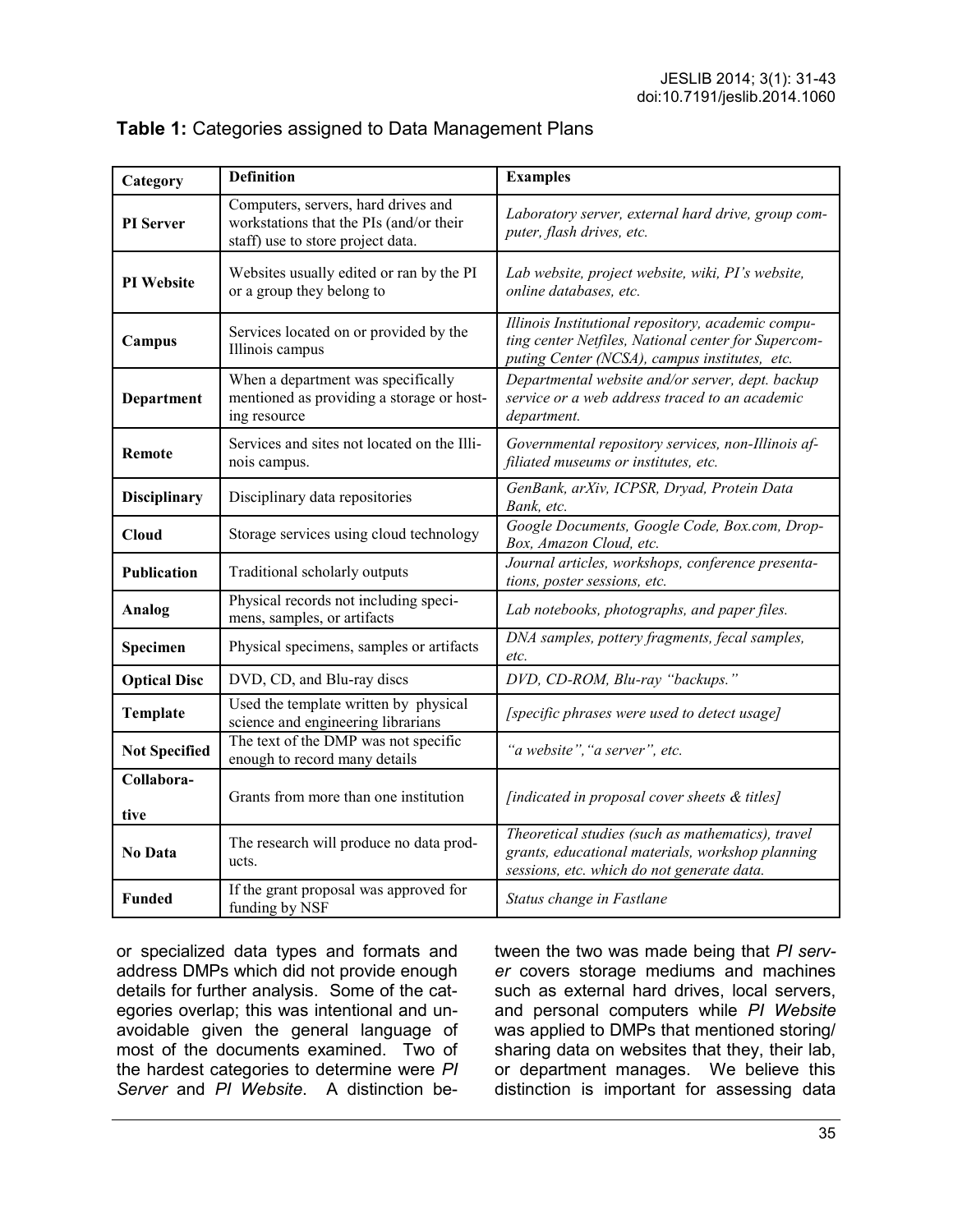| Category             | <b>Definition</b>                                                                                                   | <b>Examples</b>                                                                                                                                            |  |
|----------------------|---------------------------------------------------------------------------------------------------------------------|------------------------------------------------------------------------------------------------------------------------------------------------------------|--|
| PI Server            | Computers, servers, hard drives and<br>workstations that the PIs (and/or their<br>staff) use to store project data. | Laboratory server, external hard drive, group com-<br>puter, flash drives, etc.                                                                            |  |
| <b>PI</b> Website    | Websites usually edited or ran by the PI<br>or a group they belong to                                               | Lab website, project website, wiki, PI's website,<br>online databases, etc.                                                                                |  |
| Campus               | Services located on or provided by the<br>Illinois campus                                                           | Illinois Institutional repository, academic compu-<br>ting center Netfiles, National center for Supercom-<br>puting Center (NCSA), campus institutes, etc. |  |
| Department           | When a department was specifically<br>mentioned as providing a storage or host-<br>ing resource                     | Departmental website and/or server, dept. backup<br>service or a web address traced to an academic<br>department.                                          |  |
| <b>Remote</b>        | Services and sites not located on the Illi-<br>nois campus.                                                         | Governmental repository services, non-Illinois af-<br>filiated museums or institutes, etc.                                                                 |  |
| <b>Disciplinary</b>  | Disciplinary data repositories                                                                                      | GenBank, arXiv, ICPSR, Dryad, Protein Data<br>Bank, etc.                                                                                                   |  |
| <b>Cloud</b>         | Storage services using cloud technology                                                                             | Google Documents, Google Code, Box.com, Drop-<br>Box, Amazon Cloud, etc.                                                                                   |  |
| <b>Publication</b>   | Traditional scholarly outputs                                                                                       | Journal articles, workshops, conference presenta-<br>tions, poster sessions, etc.                                                                          |  |
| Analog               | Physical records not including speci-<br>mens, samples, or artifacts                                                | Lab notebooks, photographs, and paper files.                                                                                                               |  |
| Specimen             | Physical specimens, samples or artifacts                                                                            | DNA samples, pottery fragments, fecal samples,<br>etc.                                                                                                     |  |
| <b>Optical Disc</b>  | DVD, CD, and Blu-ray discs                                                                                          | DVD, CD-ROM, Blu-ray "backups."                                                                                                                            |  |
| Template             | Used the template written by physical<br>science and engineering librarians                                         | [specific phrases were used to detect usage]                                                                                                               |  |
| <b>Not Specified</b> | The text of the DMP was not specific<br>enough to record many details                                               | "a website", "a server", etc.                                                                                                                              |  |
| Collabora-<br>tive   | Grants from more than one institution                                                                               | [indicated in proposal cover sheets & titles]                                                                                                              |  |
| <b>No Data</b>       | The research will produce no data prod-<br>ucts.                                                                    | Theoretical studies (such as mathematics), travel<br>grants, educational materials, workshop planning<br>sessions, etc. which do not generate data.        |  |
| <b>Funded</b>        | If the grant proposal was approved for<br>funding by NSF                                                            | Status change in Fastlane                                                                                                                                  |  |

### **Table 1:** Categories assigned to Data Management Plans

or specialized data types and formats and address DMPs which did not provide enough details for further analysis. Some of the categories overlap; this was intentional and unavoidable given the general language of most of the documents examined. Two of the hardest categories to determine were *PI Server* and *PI Website*. A distinction between the two was made being that *PI server* covers storage mediums and machines such as external hard drives, local servers, and personal computers while *PI Website* was applied to DMPs that mentioned storing/ sharing data on websites that they, their lab, or department manages. We believe this distinction is important for assessing data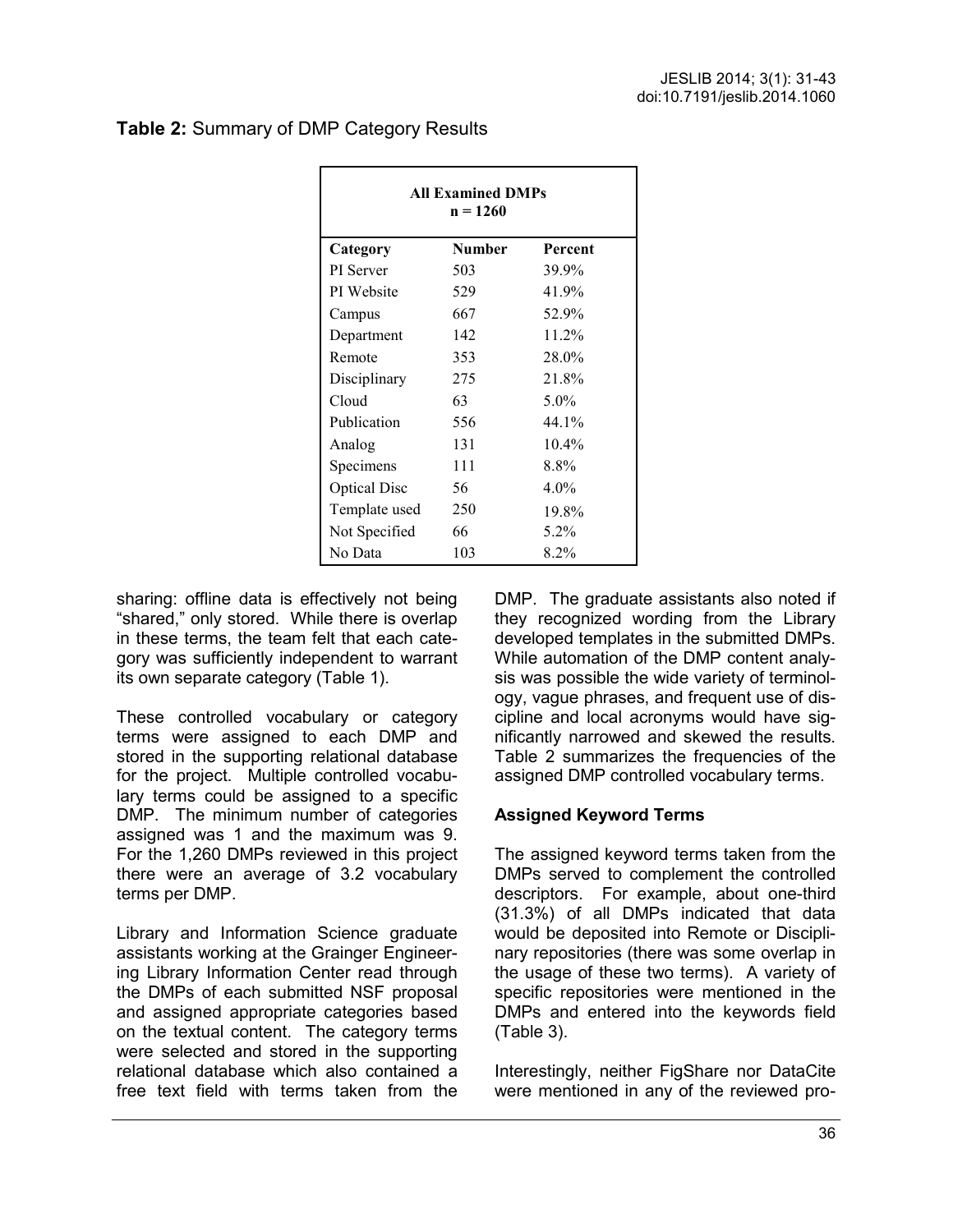| <b>All Examined DMPs</b><br>$n = 1260$ |               |          |  |  |
|----------------------------------------|---------------|----------|--|--|
| Category                               | <b>Number</b> | Percent  |  |  |
| PI Server                              | 503           | 39.9%    |  |  |
| PI Website                             | 529           | 41.9%    |  |  |
| Campus                                 | 667           | 52.9%    |  |  |
| Department                             | 142           | $11.2\%$ |  |  |
| Remote                                 | 353           | 28.0%    |  |  |
| Disciplinary                           | 275           | 21.8%    |  |  |
| Cloud                                  | 63            | $5.0\%$  |  |  |
| Publication                            | 556           | 44.1%    |  |  |
| Analog                                 | 131           | $10.4\%$ |  |  |
| Specimens                              | 111           | 8.8%     |  |  |
| <b>Optical Disc</b>                    | 56            | $4.0\%$  |  |  |
| Template used                          | 250           | 19.8%    |  |  |
| Not Specified                          | 66            | 5.2%     |  |  |
| No Data                                | 103           | 8.2%     |  |  |

### **Table 2:** Summary of DMP Category Results

sharing: offline data is effectively not being "shared," only stored. While there is overlap in these terms, the team felt that each category was sufficiently independent to warrant its own separate category (Table 1).

These controlled vocabulary or category terms were assigned to each DMP and stored in the supporting relational database for the project. Multiple controlled vocabulary terms could be assigned to a specific DMP. The minimum number of categories assigned was 1 and the maximum was 9. For the 1,260 DMPs reviewed in this project there were an average of 3.2 vocabulary terms per DMP.

Library and Information Science graduate assistants working at the Grainger Engineering Library Information Center read through the DMPs of each submitted NSF proposal and assigned appropriate categories based on the textual content. The category terms were selected and stored in the supporting relational database which also contained a free text field with terms taken from the DMP. The graduate assistants also noted if they recognized wording from the Library developed templates in the submitted DMPs. While automation of the DMP content analysis was possible the wide variety of terminology, vague phrases, and frequent use of discipline and local acronyms would have significantly narrowed and skewed the results. Table 2 summarizes the frequencies of the assigned DMP controlled vocabulary terms.

### **Assigned Keyword Terms**

The assigned keyword terms taken from the DMPs served to complement the controlled descriptors. For example, about one-third (31.3%) of all DMPs indicated that data would be deposited into Remote or Disciplinary repositories (there was some overlap in the usage of these two terms). A variety of specific repositories were mentioned in the DMPs and entered into the keywords field (Table 3).

Interestingly, neither FigShare nor DataCite were mentioned in any of the reviewed pro-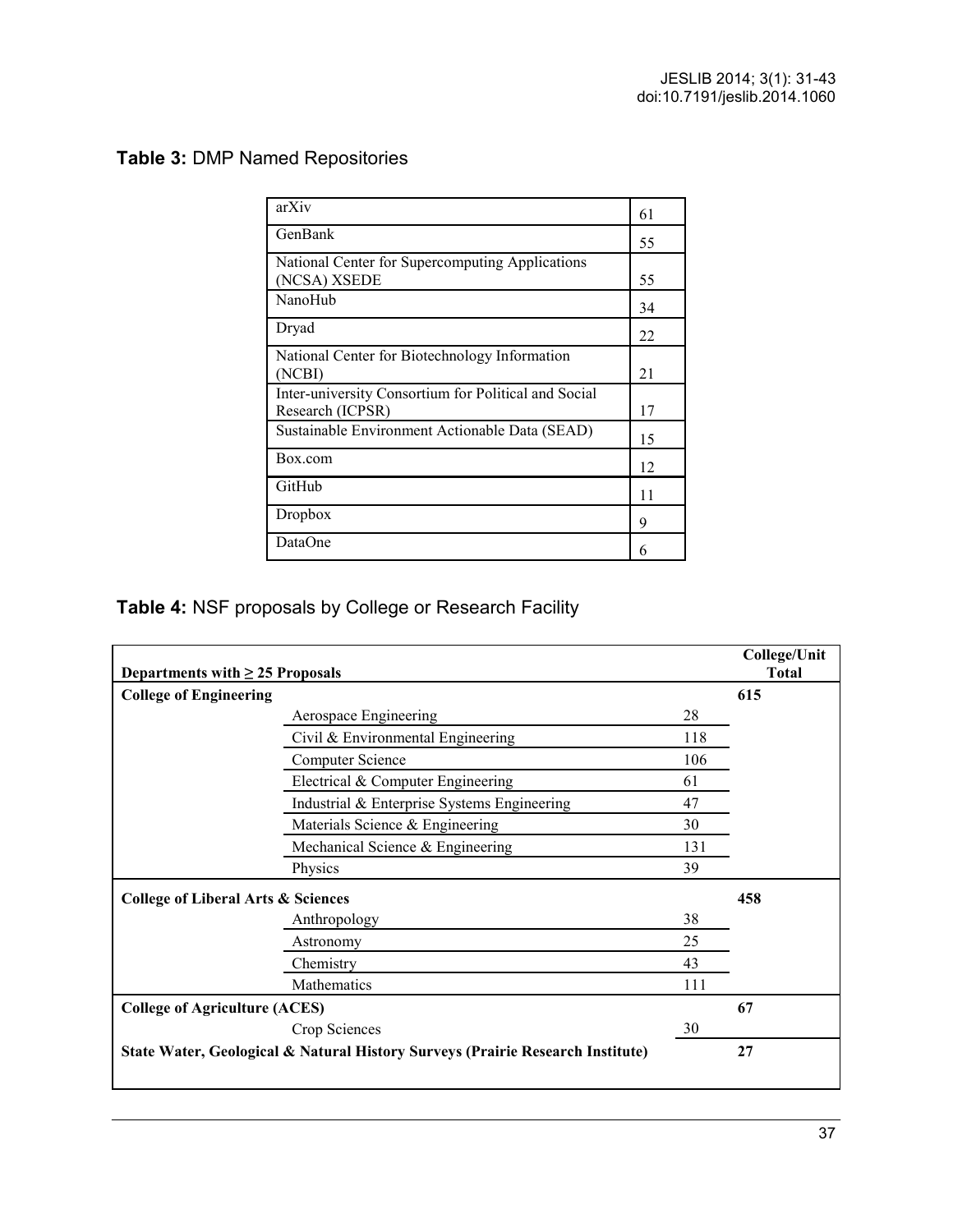# **Table 3:** DMP Named Repositories

| arXiv                                                | 61 |
|------------------------------------------------------|----|
| GenBank                                              | 55 |
| National Center for Supercomputing Applications      |    |
| (NCSA) XSEDE                                         | 55 |
| NanoHub                                              | 34 |
| Dryad                                                | 22 |
| National Center for Biotechnology Information        |    |
| (NCBI)                                               | 21 |
| Inter-university Consortium for Political and Social |    |
| Research (ICPSR)                                     | 17 |
| Sustainable Environment Actionable Data (SEAD)       | 15 |
| Box.com                                              | 12 |
| GitHub                                               | 11 |
| Dropbox                                              | 9  |
| DataOne                                              | 6  |

# **Table 4:** NSF proposals by College or Research Facility

| <b>College of Engineering</b>                                                  |     | 615 |
|--------------------------------------------------------------------------------|-----|-----|
|                                                                                |     |     |
| Aerospace Engineering                                                          | 28  |     |
| Civil & Environmental Engineering                                              | 118 |     |
| <b>Computer Science</b>                                                        | 106 |     |
| Electrical & Computer Engineering                                              | 61  |     |
| Industrial & Enterprise Systems Engineering                                    | 47  |     |
| Materials Science & Engineering                                                | 30  |     |
| Mechanical Science & Engineering                                               | 131 |     |
| Physics                                                                        | 39  |     |
| <b>College of Liberal Arts &amp; Sciences</b>                                  |     | 458 |
| Anthropology                                                                   | 38  |     |
| Astronomy                                                                      | 25  |     |
| Chemistry                                                                      | 43  |     |
| Mathematics                                                                    | 111 |     |
| <b>College of Agriculture (ACES)</b>                                           |     | 67  |
| Crop Sciences                                                                  | 30  |     |
| State Water, Geological & Natural History Surveys (Prairie Research Institute) |     | 27  |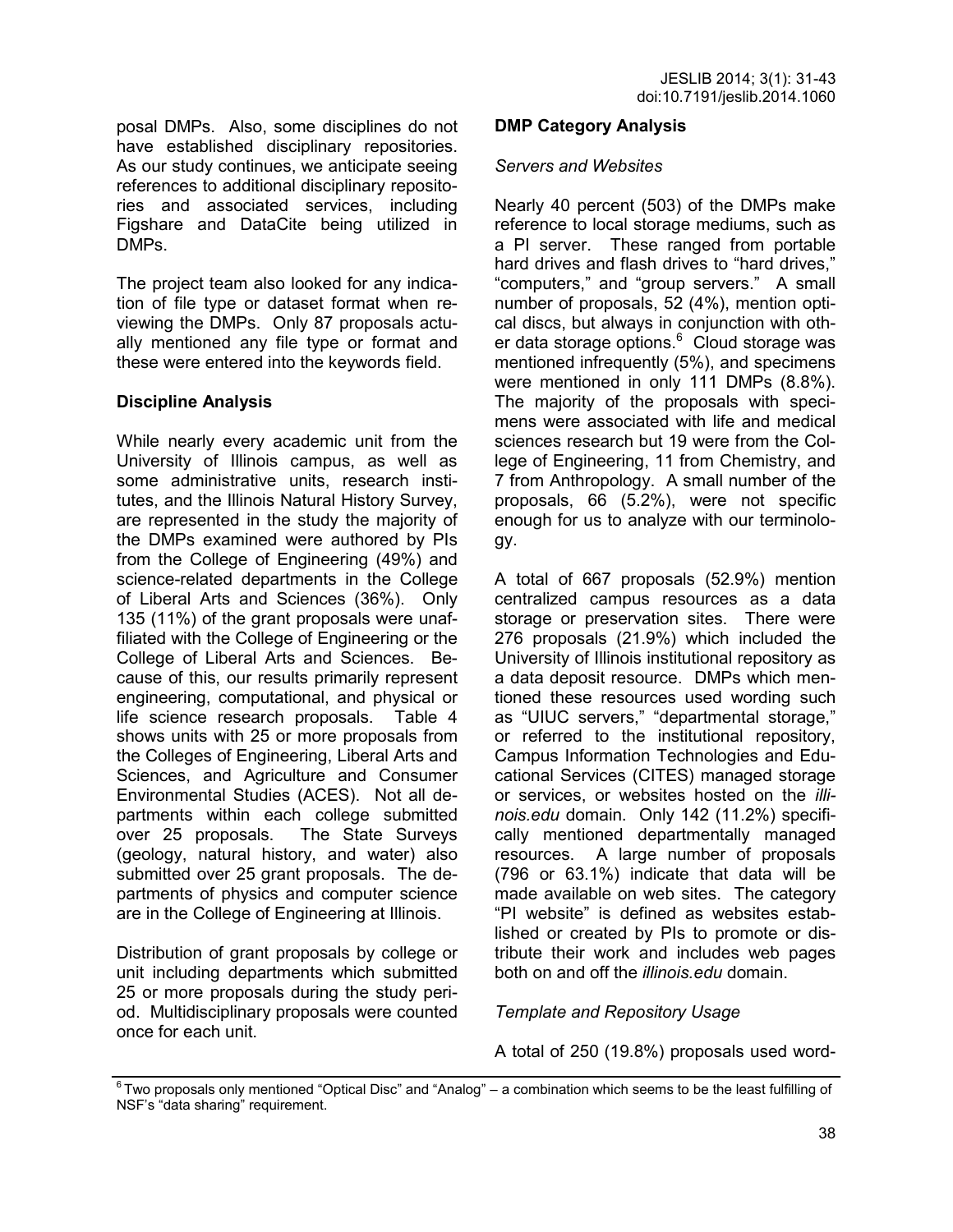posal DMPs. Also, some disciplines do not have established disciplinary repositories. As our study continues, we anticipate seeing references to additional disciplinary repositories and associated services, including Figshare and DataCite being utilized in DMPs.

The project team also looked for any indication of file type or dataset format when reviewing the DMPs. Only 87 proposals actually mentioned any file type or format and these were entered into the keywords field.

### **Discipline Analysis**

While nearly every academic unit from the University of Illinois campus, as well as some administrative units, research institutes, and the Illinois Natural History Survey, are represented in the study the majority of the DMPs examined were authored by PIs from the College of Engineering (49%) and science-related departments in the College of Liberal Arts and Sciences (36%). Only 135 (11%) of the grant proposals were unaffiliated with the College of Engineering or the College of Liberal Arts and Sciences. Because of this, our results primarily represent engineering, computational, and physical or life science research proposals. Table 4 shows units with 25 or more proposals from the Colleges of Engineering, Liberal Arts and Sciences, and Agriculture and Consumer Environmental Studies (ACES). Not all departments within each college submitted over 25 proposals. The State Surveys (geology, natural history, and water) also submitted over 25 grant proposals. The departments of physics and computer science are in the College of Engineering at Illinois.

Distribution of grant proposals by college or unit including departments which submitted 25 or more proposals during the study period. Multidisciplinary proposals were counted once for each unit.

#### **DMP Category Analysis**

#### *Servers and Websites*

Nearly 40 percent (503) of the DMPs make reference to local storage mediums, such as a PI server. These ranged from portable hard drives and flash drives to "hard drives," "computers," and "group servers." A small number of proposals, 52 (4%), mention optical discs, but always in conjunction with other data storage options.<sup>6</sup> Cloud storage was mentioned infrequently (5%), and specimens were mentioned in only 111 DMPs (8.8%). The majority of the proposals with specimens were associated with life and medical sciences research but 19 were from the College of Engineering, 11 from Chemistry, and 7 from Anthropology. A small number of the proposals, 66 (5.2%), were not specific enough for us to analyze with our terminology.

A total of 667 proposals (52.9%) mention centralized campus resources as a data storage or preservation sites. There were 276 proposals (21.9%) which included the University of Illinois institutional repository as a data deposit resource. DMPs which mentioned these resources used wording such as "UIUC servers," "departmental storage," or referred to the institutional repository, Campus Information Technologies and Educational Services (CITES) managed storage or services, or websites hosted on the *illinois.edu* domain. Only 142 (11.2%) specifically mentioned departmentally managed resources. A large number of proposals (796 or 63.1%) indicate that data will be made available on web sites. The category "PI website" is defined as websites established or created by PIs to promote or distribute their work and includes web pages both on and off the *illinois.edu* domain.

#### *Template and Repository Usage*

A total of 250 (19.8%) proposals used word-

 $6$ Two proposals only mentioned "Optical Disc" and "Analog" – a combination which seems to be the least fulfilling of NSF's "data sharing" requirement.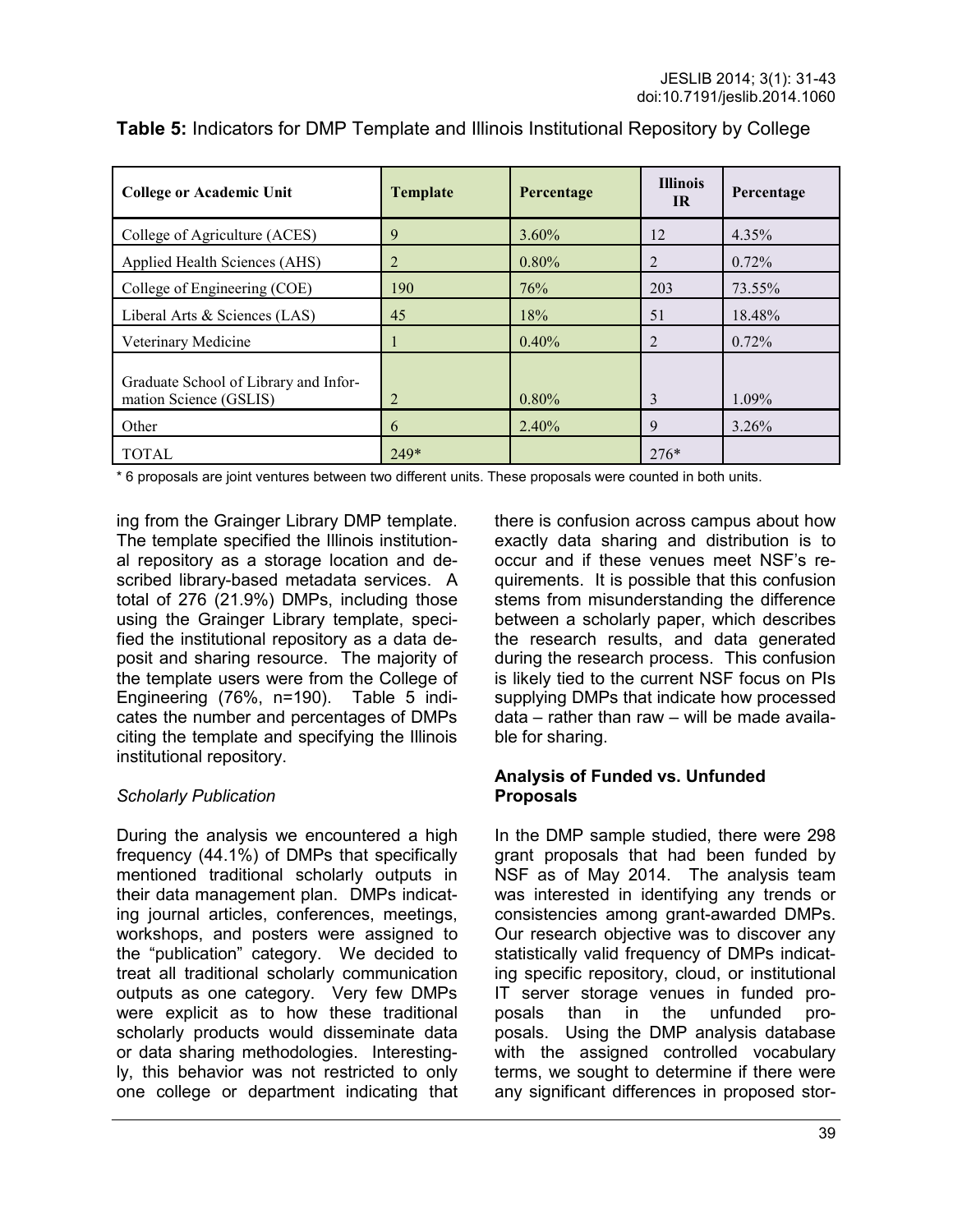| <b>College or Academic Unit</b>                                 | <b>Template</b> | Percentage | <b>Illinois</b><br><b>IR</b> | Percentage |
|-----------------------------------------------------------------|-----------------|------------|------------------------------|------------|
| College of Agriculture (ACES)                                   | 9               | $3.60\%$   | 12                           | $4.35\%$   |
| Applied Health Sciences (AHS)                                   | 2               | $0.80\%$   | 2                            | $0.72\%$   |
| College of Engineering (COE)                                    | 190             | 76%        | 203                          | 73.55%     |
| Liberal Arts & Sciences (LAS)                                   | 45              | 18%        | 51                           | 18.48%     |
| Veterinary Medicine                                             |                 | $0.40\%$   | 2                            | $0.72\%$   |
| Graduate School of Library and Infor-<br>mation Science (GSLIS) | 2               | $0.80\%$   | 3                            | 1.09%      |
| Other                                                           | 6               | 2.40%      | 9                            | 3.26%      |
| <b>TOTAL</b>                                                    | $249*$          |            | $276*$                       |            |

**Table 5:** Indicators for DMP Template and Illinois Institutional Repository by College

\* 6 proposals are joint ventures between two different units. These proposals were counted in both units.

ing from the Grainger Library DMP template. The template specified the Illinois institutional repository as a storage location and described library-based metadata services. A total of 276 (21.9%) DMPs, including those using the Grainger Library template, specified the institutional repository as a data deposit and sharing resource. The majority of the template users were from the College of Engineering (76%, n=190). Table 5 indicates the number and percentages of DMPs citing the template and specifying the Illinois institutional repository.

### *Scholarly Publication*

During the analysis we encountered a high frequency (44.1%) of DMPs that specifically mentioned traditional scholarly outputs in their data management plan. DMPs indicating journal articles, conferences, meetings, workshops, and posters were assigned to the "publication" category. We decided to treat all traditional scholarly communication outputs as one category. Very few DMPs were explicit as to how these traditional scholarly products would disseminate data or data sharing methodologies. Interestingly, this behavior was not restricted to only one college or department indicating that there is confusion across campus about how exactly data sharing and distribution is to occur and if these venues meet NSF's requirements. It is possible that this confusion stems from misunderstanding the difference between a scholarly paper, which describes the research results, and data generated during the research process. This confusion is likely tied to the current NSF focus on PIs supplying DMPs that indicate how processed data – rather than raw – will be made available for sharing.

### **Analysis of Funded vs. Unfunded Proposals**

In the DMP sample studied, there were 298 grant proposals that had been funded by NSF as of May 2014. The analysis team was interested in identifying any trends or consistencies among grant-awarded DMPs. Our research objective was to discover any statistically valid frequency of DMPs indicating specific repository, cloud, or institutional IT server storage venues in funded proposals than in the unfunded proposals. Using the DMP analysis database with the assigned controlled vocabulary terms, we sought to determine if there were any significant differences in proposed stor-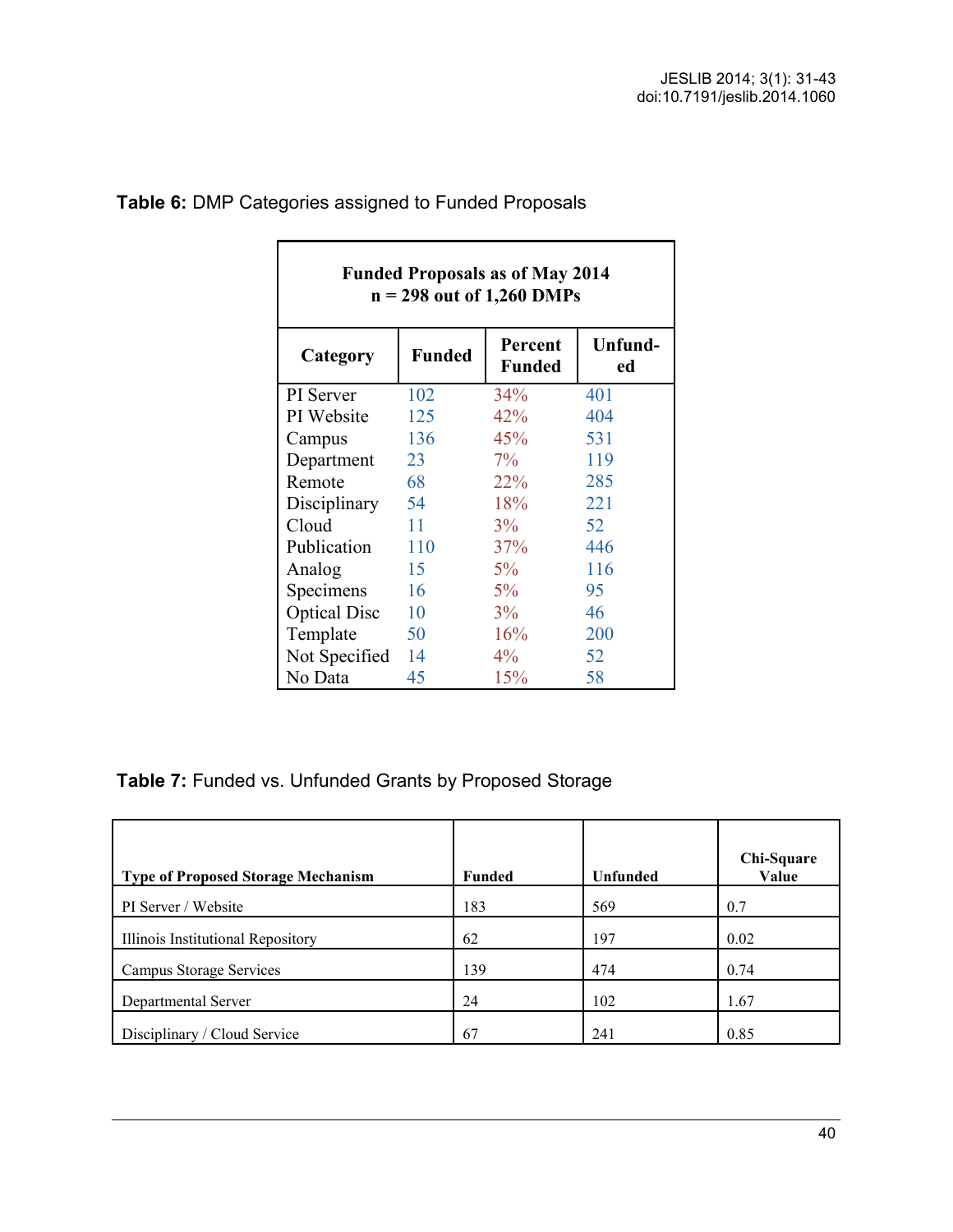$\overline{\phantom{0}}$ 

| <b>Funded Proposals as of May 2014</b><br>$n = 298$ out of 1,260 DMPs |               |                          |               |  |
|-----------------------------------------------------------------------|---------------|--------------------------|---------------|--|
| Category                                                              | <b>Funded</b> | Percent<br><b>Funded</b> | Unfund-<br>ed |  |
| PI Server                                                             | 102           | $34\%$                   | 401           |  |
| PI Website                                                            | 125           | 42%                      | 404           |  |
| Campus                                                                | 136           | 45%                      | 531           |  |
| Department                                                            | 23            | $7\%$                    | 119           |  |
| Remote                                                                | 68            | $22\%$                   | 285           |  |
| Disciplinary                                                          | 54            | 18%                      | 221           |  |
| Cloud                                                                 | 11            | 3%                       | 52            |  |
| Publication                                                           | 110           | 37%                      | 446           |  |
| Analog                                                                | 15            | $5\%$                    | 116           |  |
| Specimens                                                             | 16            | $5\%$                    | 95            |  |
| <b>Optical Disc</b>                                                   | 10            | 3%                       | 46            |  |
| Template                                                              | 50            | 16%                      | 200           |  |
| Not Specified                                                         | 14            | $4\%$                    | 52            |  |
| No Data                                                               | 45            | 15%                      | 58            |  |

# **Table 6:** DMP Categories assigned to Funded Proposals

Г

# **Table 7:** Funded vs. Unfunded Grants by Proposed Storage

| <b>Type of Proposed Storage Mechanism</b> | <b>Funded</b> | <b>Unfunded</b> | Chi-Square<br>Value |
|-------------------------------------------|---------------|-----------------|---------------------|
| PI Server / Website                       | 183           | 569             | 0.7                 |
| Illinois Institutional Repository         | 62            | 197             | 0.02                |
| Campus Storage Services                   | 139           | 474             | 0.74                |
| Departmental Server                       | 24            | 102             | 1.67                |
| Disciplinary / Cloud Service              | 67            | 241             | 0.85                |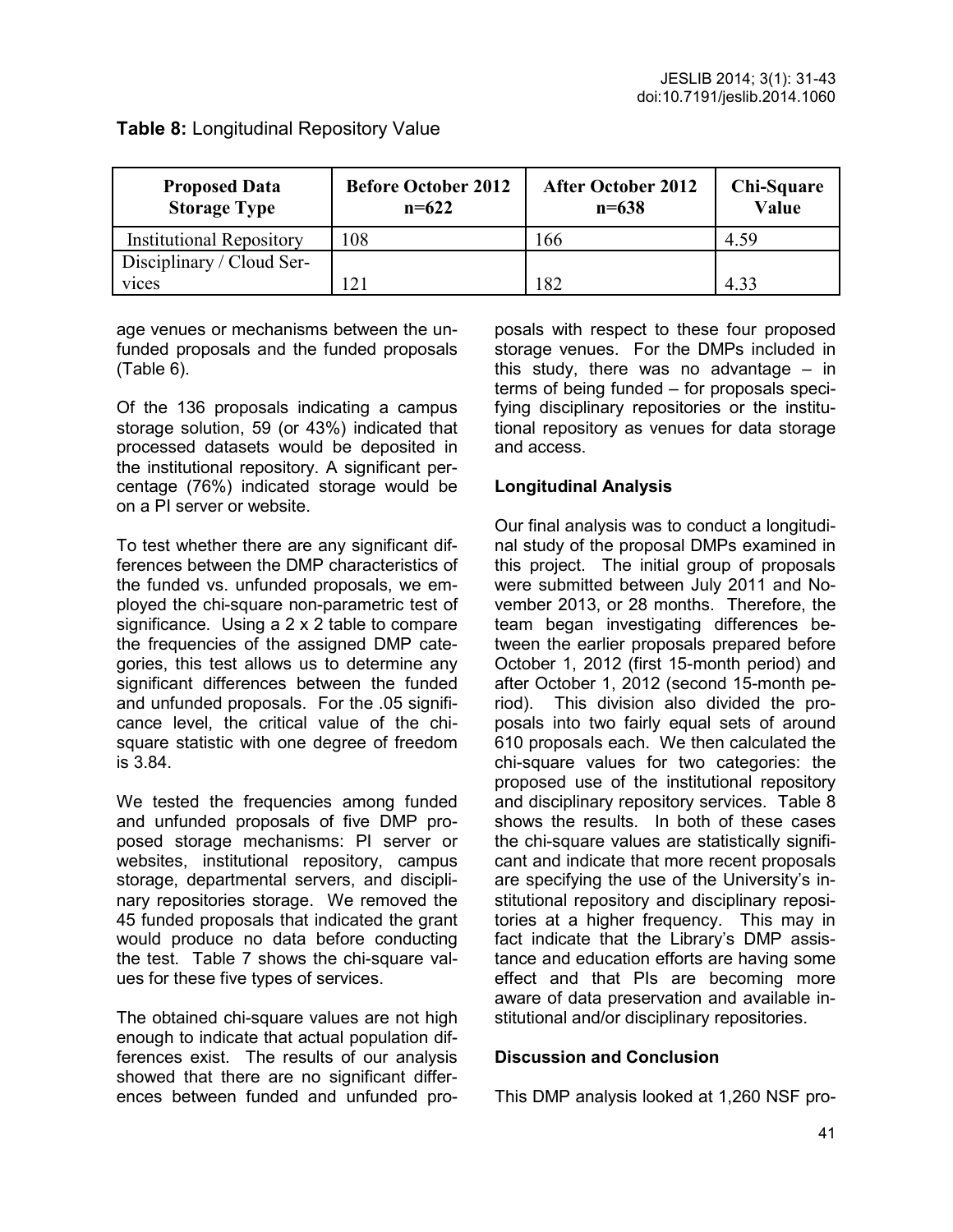| <b>Proposed Data</b><br><b>Storage Type</b> | <b>Before October 2012</b><br>$n=622$ | <b>After October 2012</b><br>$n = 638$ | Chi-Square<br>Value |
|---------------------------------------------|---------------------------------------|----------------------------------------|---------------------|
| <b>Institutional Repository</b>             | .08                                   | 66                                     | 4.59                |
| Disciplinary / Cloud Ser-                   |                                       |                                        |                     |
| vices                                       |                                       | 82                                     | 433                 |

**Table 8:** Longitudinal Repository Value

age venues or mechanisms between the unfunded proposals and the funded proposals (Table 6).

Of the 136 proposals indicating a campus storage solution, 59 (or 43%) indicated that processed datasets would be deposited in the institutional repository. A significant percentage (76%) indicated storage would be on a PI server or website.

To test whether there are any significant differences between the DMP characteristics of the funded vs. unfunded proposals, we employed the chi-square non-parametric test of significance. Using a 2 x 2 table to compare the frequencies of the assigned DMP categories, this test allows us to determine any significant differences between the funded and unfunded proposals. For the .05 significance level, the critical value of the chisquare statistic with one degree of freedom is 3.84.

We tested the frequencies among funded and unfunded proposals of five DMP proposed storage mechanisms: PI server or websites, institutional repository, campus storage, departmental servers, and disciplinary repositories storage. We removed the 45 funded proposals that indicated the grant would produce no data before conducting the test. Table 7 shows the chi-square values for these five types of services.

The obtained chi-square values are not high enough to indicate that actual population differences exist. The results of our analysis showed that there are no significant differences between funded and unfunded proposals with respect to these four proposed storage venues. For the DMPs included in this study, there was no advantage – in terms of being funded – for proposals specifying disciplinary repositories or the institutional repository as venues for data storage and access.

### **Longitudinal Analysis**

Our final analysis was to conduct a longitudinal study of the proposal DMPs examined in this project. The initial group of proposals were submitted between July 2011 and November 2013, or 28 months. Therefore, the team began investigating differences between the earlier proposals prepared before October 1, 2012 (first 15-month period) and after October 1, 2012 (second 15-month period). This division also divided the proposals into two fairly equal sets of around 610 proposals each. We then calculated the chi-square values for two categories: the proposed use of the institutional repository and disciplinary repository services. Table 8 shows the results. In both of these cases the chi-square values are statistically significant and indicate that more recent proposals are specifying the use of the University's institutional repository and disciplinary repositories at a higher frequency. This may in fact indicate that the Library's DMP assistance and education efforts are having some effect and that PIs are becoming more aware of data preservation and available institutional and/or disciplinary repositories.

### **Discussion and Conclusion**

This DMP analysis looked at 1,260 NSF pro-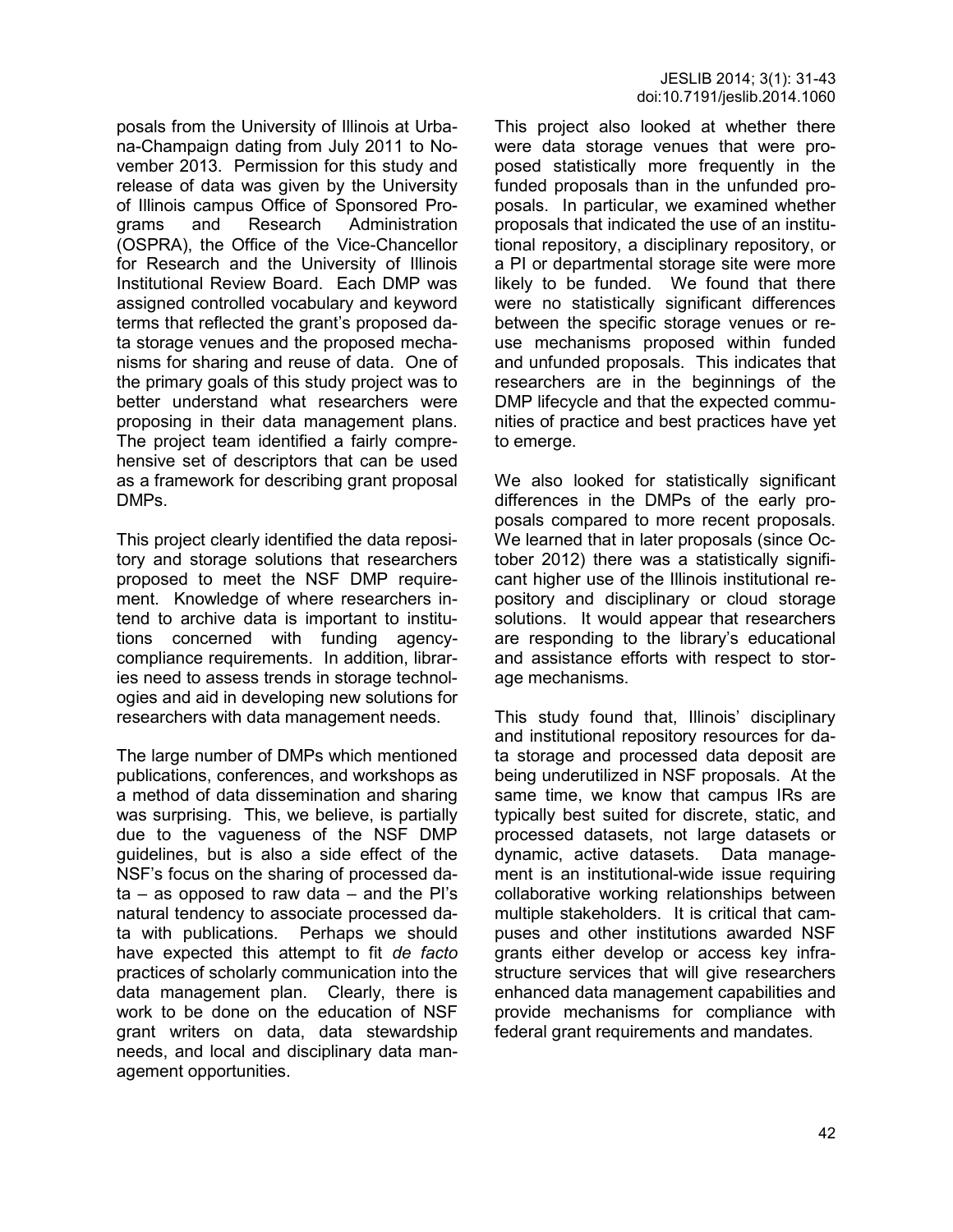posals from the University of Illinois at Urbana-Champaign dating from July 2011 to November 2013. Permission for this study and release of data was given by the University of Illinois campus Office of Sponsored Programs and Research Administration (OSPRA), the Office of the Vice-Chancellor for Research and the University of Illinois Institutional Review Board. Each DMP was assigned controlled vocabulary and keyword terms that reflected the grant's proposed data storage venues and the proposed mechanisms for sharing and reuse of data. One of the primary goals of this study project was to better understand what researchers were proposing in their data management plans. The project team identified a fairly comprehensive set of descriptors that can be used as a framework for describing grant proposal DMPs.

This project clearly identified the data repository and storage solutions that researchers proposed to meet the NSF DMP requirement. Knowledge of where researchers intend to archive data is important to institutions concerned with funding agencycompliance requirements. In addition, libraries need to assess trends in storage technologies and aid in developing new solutions for researchers with data management needs.

The large number of DMPs which mentioned publications, conferences, and workshops as a method of data dissemination and sharing was surprising. This, we believe, is partially due to the vagueness of the NSF DMP guidelines, but is also a side effect of the NSF's focus on the sharing of processed da $ta - as$  opposed to raw data  $-$  and the PI's natural tendency to associate processed data with publications. Perhaps we should have expected this attempt to fit *de facto* practices of scholarly communication into the data management plan. Clearly, there is work to be done on the education of NSF grant writers on data, data stewardship needs, and local and disciplinary data management opportunities.

This project also looked at whether there were data storage venues that were proposed statistically more frequently in the funded proposals than in the unfunded proposals. In particular, we examined whether proposals that indicated the use of an institutional repository, a disciplinary repository, or a PI or departmental storage site were more likely to be funded. We found that there were no statistically significant differences between the specific storage venues or reuse mechanisms proposed within funded and unfunded proposals. This indicates that researchers are in the beginnings of the DMP lifecycle and that the expected communities of practice and best practices have yet to emerge.

We also looked for statistically significant differences in the DMPs of the early proposals compared to more recent proposals. We learned that in later proposals (since October 2012) there was a statistically significant higher use of the Illinois institutional repository and disciplinary or cloud storage solutions. It would appear that researchers are responding to the library's educational and assistance efforts with respect to storage mechanisms.

This study found that, Illinois' disciplinary and institutional repository resources for data storage and processed data deposit are being underutilized in NSF proposals. At the same time, we know that campus IRs are typically best suited for discrete, static, and processed datasets, not large datasets or dynamic, active datasets. Data management is an institutional-wide issue requiring collaborative working relationships between multiple stakeholders. It is critical that campuses and other institutions awarded NSF grants either develop or access key infrastructure services that will give researchers enhanced data management capabilities and provide mechanisms for compliance with federal grant requirements and mandates.